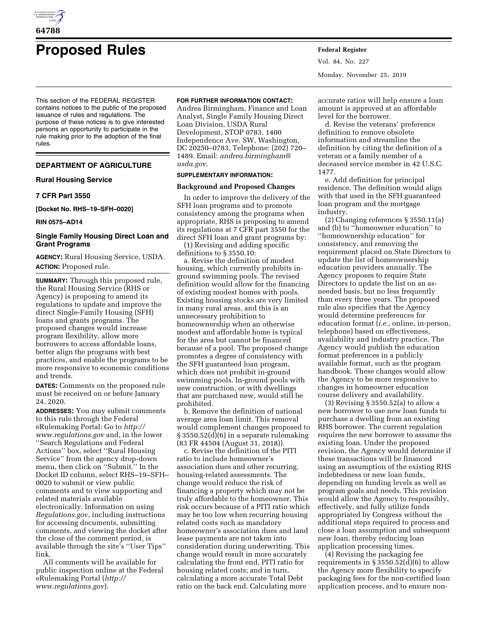

# **Proposed Rules Federal Register**

This section of the FEDERAL REGISTER contains notices to the public of the proposed issuance of rules and regulations. The purpose of these notices is to give interested persons an opportunity to participate in the rule making prior to the adoption of the final rules.

# **DEPARTMENT OF AGRICULTURE**

## **Rural Housing Service**

## **7 CFR Part 3550**

**[Docket No. RHS–19–SFH–0020]** 

**RIN 0575–AD14** 

## **Single Family Housing Direct Loan and Grant Programs**

**AGENCY:** Rural Housing Service, USDA. **ACTION:** Proposed rule.

**SUMMARY:** Through this proposed rule, the Rural Housing Service (RHS or Agency) is proposing to amend its regulations to update and improve the direct Single-Family Housing (SFH) loans and grants programs. The proposed changes would increase program flexibility, allow more borrowers to access affordable loans, better align the programs with best practices, and enable the programs to be more responsive to economic conditions and trends.

**DATES:** Comments on the proposed rule must be received on or before January 24, 2020.

**ADDRESSES:** You may submit comments to this rule through the Federal eRulemaking Portal: Go to *[http://](http://www.regulations.gov) [www.regulations.gov](http://www.regulations.gov)* and, in the lower ''Search Regulations and Federal Actions'' box, select ''Rural Housing Service'' from the agency drop-down menu, then click on ''Submit.'' In the Docket ID column, select RHS–19–SFH– 0020 to submit or view public comments and to view supporting and related materials available electronically. Information on using *Regulations.gov*, including instructions for accessing documents, submitting comments, and viewing the docket after the close of the comment period, is available through the site's ''User Tips'' link.

All comments will be available for public inspection online at the Federal eRulemaking Portal (*[http://](http://www.regulations.gov) [www.regulations.gov](http://www.regulations.gov)*).

## **FOR FURTHER INFORMATION CONTACT:**

Andrea Birmingham, Finance and Loan Analyst, Single Family Housing Direct Loan Division, USDA Rural Development, STOP 0783, 1400 Independence Ave. SW, Washington, DC 20250–0783, Telephone: (202) 720– 1489. Email: *[andrea.birmingham@](mailto:andrea.birmingham@usda.gov) [usda.gov.](mailto:andrea.birmingham@usda.gov)* 

# **SUPPLEMENTARY INFORMATION:**

## **Background and Proposed Changes**

In order to improve the delivery of the SFH loan programs and to promote consistency among the programs when appropriate, RHS is proposing to amend its regulations at 7 CFR part 3550 for the direct SFH loan and grant programs by:

(1) Revising and adding specific definitions to § 3550.10:

a. Revise the definition of modest housing, which currently prohibits inground swimming pools. The revised definition would allow for the financing of existing modest homes with pools. Existing housing stocks are very limited in many rural areas, and this is an unnecessary prohibition to homeownership when an otherwise modest and affordable home is typical for the area but cannot be financed because of a pool. The proposed change promotes a degree of consistency with the SFH guaranteed loan program, which does not prohibit in-ground swimming pools. In-ground pools with new construction, or with dwellings that are purchased new, would still be prohibited.

b. Remove the definition of national average area loan limit. This removal would complement changes proposed to § 3550.52(d)(6) in a separate rulemaking (83 FR 44504 (August 31, 2018)).

c. Revise the definition of the PITI ratio to include homeowner's association dues and other recurring, housing-related assessments. The change would reduce the risk of financing a property which may not be truly affordable to the homeowner. This risk occurs because of a PITI ratio which may be too low when recurring housing related costs such as mandatory homeowner's association dues and land lease payments are not taken into consideration during underwriting. This change would result in more accurately calculating the front end, PITI ratio for housing related costs; and in turn, calculating a more accurate Total Debt ratio on the back end. Calculating more

Vol. 84, No. 227 Monday, November 25, 2019

accurate ratios will help ensure a loan amount is approved at an affordable level for the borrower.

d. Revise the veterans' preference definition to remove obsolete information and streamline the definition by citing the definition of a veteran or a family member of a deceased service member in 42 U.S.C. 1477.

e. Add definition for principal residence. The definition would align with that used in the SFH guaranteed loan program and the mortgage industry.

(2) Changing references § 3550.11(a) and (b) to ''homeowner education'' to ''homeownership education'' for consistency, and removing the requirement placed on State Directors to update the list of homeownership education providers annually. The Agency proposes to require State Directors to update the list on an asneeded basis, but no less frequently than every three years. The proposed rule also specifies that the Agency would determine preferences for education format (*i.e.,* online, in-person, telephone) based on effectiveness, availability and industry practice. The Agency would publish the education format preferences in a publicly available format, such as the program handbook. These changes would allow the Agency to be more responsive to changes in homeowner education course delivery and availability.

(3) Revising § 3550.52(a) to allow a new borrower to use new loan funds to purchase a dwelling from an existing RHS borrower. The current regulation requires the new borrower to assume the existing loan. Under the proposed revision, the Agency would determine if these transactions will be financed using an assumption of the existing RHS indebtedness or new loan funds, depending on funding levels as well as program goals and needs. This revision would allow the Agency to responsibly, effectively, and fully utilize funds appropriated by Congress without the additional steps required to process and close a loan assumption and subsequent new loan, thereby reducing loan application processing times.

(4) Revising the packaging fee requirements in  $\S 3550.52(d)(6)$  to allow the Agency more flexibility to specify packaging fees for the non-certified loan application process, and to ensure non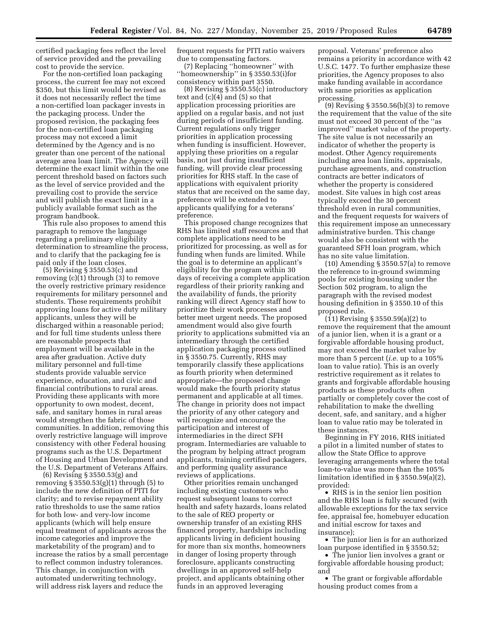certified packaging fees reflect the level of service provided and the prevailing cost to provide the service.

For the non-certified loan packaging process, the current fee may not exceed \$350, but this limit would be revised as it does not necessarily reflect the time a non-certified loan packager invests in the packaging process. Under the proposed revision, the packaging fees for the non-certified loan packaging process may not exceed a limit determined by the Agency and is no greater than one percent of the national average area loan limit. The Agency will determine the exact limit within the one percent threshold based on factors such as the level of service provided and the prevailing cost to provide the service and will publish the exact limit in a publicly available format such as the program handbook.

This rule also proposes to amend this paragraph to remove the language regarding a preliminary eligibility determination to streamline the process, and to clarify that the packaging fee is paid only if the loan closes.

(5) Revising § 3550.53(c) and removing (c)(1) through (3) to remove the overly restrictive primary residence requirements for military personnel and students. These requirements prohibit approving loans for active duty military applicants, unless they will be discharged within a reasonable period; and for full time students unless there are reasonable prospects that employment will be available in the area after graduation. Active duty military personnel and full-time students provide valuable service experience, education, and civic and financial contributions to rural areas. Providing these applicants with more opportunity to own modest, decent, safe, and sanitary homes in rural areas would strengthen the fabric of those communities. In addition, removing this overly restrictive language will improve consistency with other Federal housing programs such as the U.S. Department of Housing and Urban Development and the U.S. Department of Veterans Affairs.

(6) Revising § 3550.53(g) and removing § 3550.53(g)(1) through (5) to include the new definition of PITI for clarity; and to revise repayment ability ratio thresholds to use the same ratios for both low- and very-low income applicants (which will help ensure equal treatment of applicants across the income categories and improve the marketability of the program) and to increase the ratios by a small percentage to reflect common industry tolerances. This change, in conjunction with automated underwriting technology, will address risk layers and reduce the

frequent requests for PITI ratio waivers due to compensating factors.

(7) Replacing ''homeowner'' with ''homeownership'' in § 3550.53(i)for consistency within part 3550.

(8) Revising § 3550.55(c) introductory text and (c)(4) and (5) so that application processing priorities are applied on a regular basis, and not just during periods of insufficient funding. Current regulations only trigger priorities in application processing when funding is insufficient. However, applying these priorities on a regular basis, not just during insufficient funding, will provide clear processing priorities for RHS staff. In the case of applications with equivalent priority status that are received on the same day, preference will be extended to applicants qualifying for a veterans' preference.

This proposed change recognizes that RHS has limited staff resources and that complete applications need to be prioritized for processing, as well as for funding when funds are limited. While the goal is to determine an applicant's eligibility for the program within 30 days of receiving a complete application regardless of their priority ranking and the availability of funds, the priority ranking will direct Agency staff how to prioritize their work processes and better meet urgent needs. The proposed amendment would also give fourth priority to applications submitted via an intermediary through the certified application packaging process outlined in § 3550.75. Currently, RHS may temporarily classify these applications as fourth priority when determined appropriate—the proposed change would make the fourth priority status permanent and applicable at all times. The change in priority does not impact the priority of any other category and will recognize and encourage the participation and interest of intermediaries in the direct SFH program. Intermediaries are valuable to the program by helping attract program applicants, training certified packagers, and performing quality assurance reviews of applications.

Other priorities remain unchanged including existing customers who request subsequent loans to correct health and safety hazards, loans related to the sale of REO property or ownership transfer of an existing RHS financed property, hardships including applicants living in deficient housing for more than six months, homeowners in danger of losing property through foreclosure, applicants constructing dwellings in an approved self-help project, and applicants obtaining other funds in an approved leveraging

proposal. Veterans' preference also remains a priority in accordance with 42 U.S.C. 1477. To further emphasize these priorities, the Agency proposes to also make funding available in accordance with same priorities as application processing.

(9) Revising § 3550.56(b)(3) to remove the requirement that the value of the site must not exceed 30 percent of the ''as improved'' market value of the property. The site value is not necessarily an indicator of whether the property is modest. Other Agency requirements including area loan limits, appraisals, purchase agreements, and construction contracts are better indicators of whether the property is considered modest. Site values in high cost areas typically exceed the 30 percent threshold even in rural communities, and the frequent requests for waivers of this requirement impose an unnecessary administrative burden. This change would also be consistent with the guaranteed SFH loan program, which has no site value limitation.

(10) Amending § 3550.57(a) to remove the reference to in-ground swimming pools for existing housing under the Section 502 program, to align the paragraph with the revised modest housing definition in § 3550.10 of this proposed rule.

 $(11)$  Revising § 3550.59(a)(2) to remove the requirement that the amount of a junior lien, when it is a grant or a forgivable affordable housing product, may not exceed the market value by more than 5 percent (*i.e.* up to a 105% loan to value ratio). This is an overly restrictive requirement as it relates to grants and forgivable affordable housing products as these products often partially or completely cover the cost of rehabilitation to make the dwelling decent, safe, and sanitary, and a higher loan to value ratio may be tolerated in these instances.

Beginning in FY 2016, RHS initiated a pilot in a limited number of states to allow the State Office to approve leveraging arrangements where the total loan-to-value was more than the 105% limitation identified in § 3550.59(a)(2), provided:

• RHS is in the senior lien position and the RHS loan is fully secured (with allowable exceptions for the tax service fee, appraisal fee, homebuyer education and initial escrow for taxes and insurance);

• The junior lien is for an authorized loan purpose identified in § 3550.52;

• The junior lien involves a grant or forgivable affordable housing product; and

• The grant or forgivable affordable housing product comes from a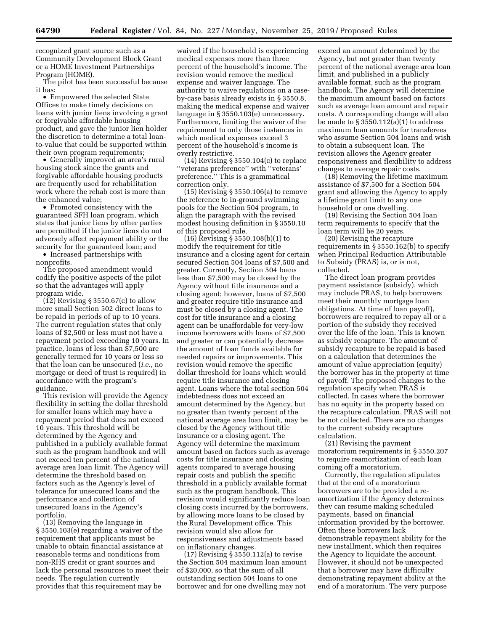recognized grant source such as a Community Development Block Grant or a HOME Investment Partnerships Program (HOME).

The pilot has been successful because it has:

• Empowered the selected State Offices to make timely decisions on loans with junior liens involving a grant or forgivable affordable housing product, and gave the junior lien holder the discretion to determine a total loanto-value that could be supported within their own program requirements;

• Generally improved an area's rural housing stock since the grants and forgivable affordable housing products are frequently used for rehabilitation work where the rehab cost is more than the enhanced value;

• Promoted consistency with the guaranteed SFH loan program, which states that junior liens by other parties are permitted if the junior liens do not adversely affect repayment ability or the security for the guaranteed loan; and

• Increased partnerships with nonprofits.

The proposed amendment would codify the positive aspects of the pilot so that the advantages will apply program wide.

 $(12)$  Revising § 3550.67(c) to allow more small Section 502 direct loans to be repaid in periods of up to 10 years. The current regulation states that only loans of \$2,500 or less must not have a repayment period exceeding 10 years. In practice, loans of less than \$7,500 are generally termed for 10 years or less so that the loan can be unsecured (*i.e.*, no mortgage or deed of trust is required) in accordance with the program's guidance.

This revision will provide the Agency flexibility in setting the dollar threshold for smaller loans which may have a repayment period that does not exceed 10 years. This threshold will be determined by the Agency and published in a publicly available format such as the program handbook and will not exceed ten percent of the national average area loan limit. The Agency will determine the threshold based on factors such as the Agency's level of tolerance for unsecured loans and the performance and collection of unsecured loans in the Agency's portfolio.

(13) Removing the language in § 3550.103(e) regarding a waiver of the requirement that applicants must be unable to obtain financial assistance at reasonable terms and conditions from non-RHS credit or grant sources and lack the personal resources to meet their needs. The regulation currently provides that this requirement may be

waived if the household is experiencing medical expenses more than three percent of the household's income. The revision would remove the medical expense and waiver language. The authority to waive regulations on a caseby-case basis already exists in § 3550.8, making the medical expense and waiver language in § 3550.103(e) unnecessary. Furthermore, limiting the waiver of the requirement to only those instances in which medical expenses exceed 3 percent of the household's income is overly restrictive.

(14) Revising § 3550.104(c) to replace ''veterans preference'' with ''veterans' preference.'' This is a grammatical correction only.

(15) Revising § 3550.106(a) to remove the reference to in-ground swimming pools for the Section 504 program, to align the paragraph with the revised modest housing definition in § 3550.10 of this proposed rule.

(16) Revising § 3550.108(b)(1) to modify the requirement for title insurance and a closing agent for certain secured Section 504 loans of \$7,500 and greater. Currently, Section 504 loans less than \$7,500 may be closed by the Agency without title insurance and a closing agent; however, loans of \$7,500 and greater require title insurance and must be closed by a closing agent. The cost for title insurance and a closing agent can be unaffordable for very-low income borrowers with loans of \$7,500 and greater or can potentially decrease the amount of loan funds available for needed repairs or improvements. This revision would remove the specific dollar threshold for loans which would require title insurance and closing agent. Loans where the total section 504 indebtedness does not exceed an amount determined by the Agency, but no greater than twenty percent of the national average area loan limit, may be closed by the Agency without title insurance or a closing agent. The Agency will determine the maximum amount based on factors such as average costs for title insurance and closing agents compared to average housing repair costs and publish the specific threshold in a publicly available format such as the program handbook. This revision would significantly reduce loan closing costs incurred by the borrowers, by allowing more loans to be closed by the Rural Development office. This revision would also allow for responsiveness and adjustments based on inflationary changes.

(17) Revising § 3550.112(a) to revise the Section 504 maximum loan amount of \$20,000, so that the sum of all outstanding section 504 loans to one borrower and for one dwelling may not

exceed an amount determined by the Agency, but not greater than twenty percent of the national average area loan limit, and published in a publicly available format, such as the program handbook. The Agency will determine the maximum amount based on factors such as average loan amount and repair costs. A corresponding change will also be made to § 3550.112(a)(1) to address maximum loan amounts for transferees who assume Section 504 loans and wish to obtain a subsequent loan. The revision allows the Agency greater responsiveness and flexibility to address changes to average repair costs.

(18) Removing the lifetime maximum assistance of \$7,500 for a Section 504 grant and allowing the Agency to apply a lifetime grant limit to any one household or one dwelling.

(19) Revising the Section 504 loan term requirements to specify that the loan term will be 20 years.

(20) Revising the recapture requirements in § 3550.162(b) to specify when Principal Reduction Attributable to Subsidy (PRAS) is, or is not, collected.

The direct loan program provides payment assistance (subsidy), which may include PRAS, to help borrowers meet their monthly mortgage loan obligations. At time of loan payoff), borrowers are required to repay all or a portion of the subsidy they received over the life of the loan. This is known as subsidy recapture. The amount of subsidy recapture to be repaid is based on a calculation that determines the amount of value appreciation (equity) the borrower has in the property at time of payoff. The proposed changes to the regulation specify when PRAS is collected. In cases where the borrower has no equity in the property based on the recapture calculation, PRAS will not be not collected. There are no changes to the current subsidy recapture calculation.

(21) Revising the payment moratorium requirements in § 3550.207 to require reamortization of each loan coming off a moratorium.

Currently, the regulation stipulates that at the end of a moratorium borrowers are to be provided a reamortization if the Agency determines they can resume making scheduled payments, based on financial information provided by the borrower. Often these borrowers lack demonstrable repayment ability for the new installment, which then requires the Agency to liquidate the account. However, it should not be unexpected that a borrower may have difficulty demonstrating repayment ability at the end of a moratorium. The very purpose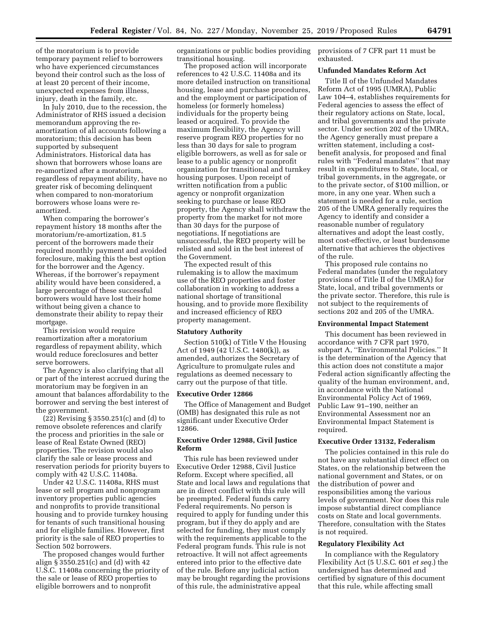of the moratorium is to provide temporary payment relief to borrowers who have experienced circumstances beyond their control such as the loss of at least 20 percent of their income, unexpected expenses from illness, injury, death in the family, etc.

In July 2010, due to the recession, the Administrator of RHS issued a decision memorandum approving the reamortization of all accounts following a moratorium; this decision has been supported by subsequent Administrators. Historical data has shown that borrowers whose loans are re-amortized after a moratorium, regardless of repayment ability, have no greater risk of becoming delinquent when compared to non-moratorium borrowers whose loans were reamortized.

When comparing the borrower's repayment history 18 months after the moratorium/re-amortization, 81.5 percent of the borrowers made their required monthly payment and avoided foreclosure, making this the best option for the borrower and the Agency. Whereas, if the borrower's repayment ability would have been considered, a large percentage of these successful borrowers would have lost their home without being given a chance to demonstrate their ability to repay their mortgage.

This revision would require reamortization after a moratorium regardless of repayment ability, which would reduce foreclosures and better serve borrowers.

The Agency is also clarifying that all or part of the interest accrued during the moratorium may be forgiven in an amount that balances affordability to the borrower and serving the best interest of the government.

(22) Revising § 3550.251(c) and (d) to remove obsolete references and clarify the process and priorities in the sale or lease of Real Estate Owned (REO) properties. The revision would also clarify the sale or lease process and reservation periods for priority buyers to comply with 42 U.S.C. 11408a.

Under 42 U.S.C. 11408a, RHS must lease or sell program and nonprogram inventory properties public agencies and nonprofits to provide transitional housing and to provide turnkey housing for tenants of such transitional housing and for eligible families. However, first priority is the sale of REO properties to Section 502 borrowers.

The proposed changes would further align § 3550.251(c) and (d) with 42 U.S.C. 11408a concerning the priority of the sale or lease of REO properties to eligible borrowers and to nonprofit

organizations or public bodies providing transitional housing.

The proposed action will incorporate references to 42 U.S.C. 11408a and its more detailed instruction on transitional housing, lease and purchase procedures, and the employment or participation of homeless (or formerly homeless) individuals for the property being leased or acquired. To provide the maximum flexibility, the Agency will reserve program REO properties for no less than 30 days for sale to program eligible borrowers, as well as for sale or lease to a public agency or nonprofit organization for transitional and turnkey housing purposes. Upon receipt of written notification from a public agency or nonprofit organization seeking to purchase or lease REO property, the Agency shall withdraw the property from the market for not more than 30 days for the purpose of negotiations. If negotiations are unsuccessful, the REO property will be relisted and sold in the best interest of the Government.

The expected result of this rulemaking is to allow the maximum use of the REO properties and foster collaboration in working to address a national shortage of transitional housing, and to provide more flexibility and increased efficiency of REO property management.

#### **Statutory Authority**

Section 510(k) of Title V the Housing Act of 1949 (42 U.S.C. 1480(k)), as amended, authorizes the Secretary of Agriculture to promulgate rules and regulations as deemed necessary to carry out the purpose of that title.

#### **Executive Order 12866**

The Office of Management and Budget (OMB) has designated this rule as not significant under Executive Order 12866.

# **Executive Order 12988, Civil Justice Reform**

This rule has been reviewed under Executive Order 12988, Civil Justice Reform. Except where specified, all State and local laws and regulations that are in direct conflict with this rule will be preempted. Federal funds carry Federal requirements. No person is required to apply for funding under this program, but if they do apply and are selected for funding, they must comply with the requirements applicable to the Federal program funds. This rule is not retroactive. It will not affect agreements entered into prior to the effective date of the rule. Before any judicial action may be brought regarding the provisions of this rule, the administrative appeal

provisions of 7 CFR part 11 must be exhausted.

# **Unfunded Mandates Reform Act**

Title II of the Unfunded Mandates Reform Act of 1995 (UMRA), Public Law 104–4, establishes requirements for Federal agencies to assess the effect of their regulatory actions on State, local, and tribal governments and the private sector. Under section 202 of the UMRA, the Agency generally must prepare a written statement, including a costbenefit analysis, for proposed and final rules with ''Federal mandates'' that may result in expenditures to State, local, or tribal governments, in the aggregate, or to the private sector, of \$100 million, or more, in any one year. When such a statement is needed for a rule, section 205 of the UMRA generally requires the Agency to identify and consider a reasonable number of regulatory alternatives and adopt the least costly, most cost-effective, or least burdensome alternative that achieves the objectives of the rule.

This proposed rule contains no Federal mandates (under the regulatory provisions of Title II of the UMRA) for State, local, and tribal governments or the private sector. Therefore, this rule is not subject to the requirements of sections 202 and 205 of the UMRA.

## **Environmental Impact Statement**

This document has been reviewed in accordance with 7 CFR part 1970, subpart A, ''Environmental Policies.'' It is the determination of the Agency that this action does not constitute a major Federal action significantly affecting the quality of the human environment, and, in accordance with the National Environmental Policy Act of 1969, Public Law 91–190, neither an Environmental Assessment nor an Environmental Impact Statement is required.

## **Executive Order 13132, Federalism**

The policies contained in this rule do not have any substantial direct effect on States, on the relationship between the national government and States, or on the distribution of power and responsibilities among the various levels of government. Nor does this rule impose substantial direct compliance costs on State and local governments. Therefore, consultation with the States is not required.

#### **Regulatory Flexibility Act**

In compliance with the Regulatory Flexibility Act (5 U.S.C. 601 *et seq.*) the undersigned has determined and certified by signature of this document that this rule, while affecting small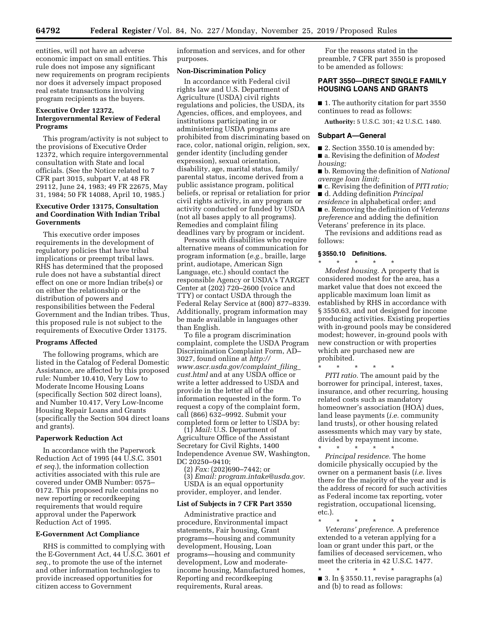entities, will not have an adverse economic impact on small entities. This rule does not impose any significant new requirements on program recipients nor does it adversely impact proposed real estate transactions involving program recipients as the buyers.

## **Executive Order 12372,**

# **Intergovernmental Review of Federal Programs**

This program/activity is not subject to the provisions of Executive Order 12372, which require intergovernmental consultation with State and local officials. (See the Notice related to 7 CFR part 3015, subpart V, at 48 FR 29112, June 24, 1983; 49 FR 22675, May 31, 1984; 50 FR 14088, April 10, 1985.)

# **Executive Order 13175, Consultation and Coordination With Indian Tribal Governments**

This executive order imposes requirements in the development of regulatory policies that have tribal implications or preempt tribal laws. RHS has determined that the proposed rule does not have a substantial direct effect on one or more Indian tribe(s) or on either the relationship or the distribution of powers and responsibilities between the Federal Government and the Indian tribes. Thus, this proposed rule is not subject to the requirements of Executive Order 13175.

#### **Programs Affected**

The following programs, which are listed in the Catalog of Federal Domestic Assistance, are affected by this proposed rule: Number 10.410, Very Low to Moderate Income Housing Loans (specifically Section 502 direct loans), and Number 10.417, Very Low-Income Housing Repair Loans and Grants (specifically the Section 504 direct loans and grants).

#### **Paperwork Reduction Act**

In accordance with the Paperwork Reduction Act of 1995 (44 U.S.C. 3501 *et seq.*), the information collection activities associated with this rule are covered under OMB Number: 0575– 0172. This proposed rule contains no new reporting or recordkeeping requirements that would require approval under the Paperwork Reduction Act of 1995.

## **E-Government Act Compliance**

RHS is committed to complying with the E-Government Act, 44 U.S.C. 3601 *et seq*., to promote the use of the internet and other information technologies to provide increased opportunities for citizen access to Government

information and services, and for other purposes.

## **Non-Discrimination Policy**

In accordance with Federal civil rights law and U.S. Department of Agriculture (USDA) civil rights regulations and policies, the USDA, its Agencies, offices, and employees, and institutions participating in or administering USDA programs are prohibited from discriminating based on race, color, national origin, religion, sex, gender identity (including gender expression), sexual orientation, disability, age, marital status, family/ parental status, income derived from a public assistance program, political beliefs, or reprisal or retaliation for prior civil rights activity, in any program or activity conducted or funded by USDA (not all bases apply to all programs). Remedies and complaint filing deadlines vary by program or incident.

Persons with disabilities who require alternative means of communication for program information (*e.g.,* braille, large print, audiotape, American Sign Language, etc.) should contact the responsible Agency or USDA's TARGET Center at (202) 720–2600 (voice and TTY) or contact USDA through the Federal Relay Service at (800) 877–8339. Additionally, program information may be made available in languages other than English.

To file a program discrimination complaint, complete the USDA Program Discrimination Complaint Form, AD– 3027, found online at *[http://](http://www.ascr.usda.gov/complaint_filing_cust.html) [www.ascr.usda.gov/complaint](http://www.ascr.usda.gov/complaint_filing_cust.html)*\_*filing*\_ *[cust.html](http://www.ascr.usda.gov/complaint_filing_cust.html)* and at any USDA office or write a letter addressed to USDA and provide in the letter all of the information requested in the form. To request a copy of the complaint form, call (866) 632–9992. Submit your completed form or letter to USDA by:

(1) *Mail:* U.S. Department of Agriculture Office of the Assistant Secretary for Civil Rights, 1400 Independence Avenue SW, Washington, DC 20250–9410;

(2) *Fax:* (202)690–7442; or

(3) *Email: [program.intake@usda.gov.](mailto:program.intake@usda.gov)*  USDA is an equal opportunity provider, employer, and lender.

### **List of Subjects in 7 CFR Part 3550**

Administrative practice and procedure, Environmental impact statements, Fair housing, Grant programs—housing and community development, Housing, Loan programs—housing and community development, Low and moderateincome housing, Manufactured homes, Reporting and recordkeeping requirements, Rural areas.

For the reasons stated in the preamble, 7 CFR part 3550 is proposed to be amended as follows:

## **PART 3550—DIRECT SINGLE FAMILY HOUSING LOANS AND GRANTS**

■ 1. The authority citation for part 3550 continues to read as follows:

**Authority:** 5 U.S.C. 301; 42 U.S.C. 1480.

#### **Subpart A—General**

■ 2. Section 3550.10 is amended by:

■ a. Revising the definition of *Modest housing;* 

■ b. Removing the definition of *National average loan limit;* 

■ c. Revising the definition of *PITI ratio;*  ■ d. Adding definition *Principal residence* in alphabetical order; and ■ e. Removing the definition of *Veterans preference* and adding the definition Veterans' preference in its place.

The revisions and additions read as follows:

## **§ 3550.10 Definitions.**

\* \* \* \* \* *Modest housing.* A property that is considered modest for the area, has a market value that does not exceed the applicable maximum loan limit as established by RHS in accordance with § 3550.63, and not designed for income producing activities. Existing properties with in-ground pools may be considered modest; however, in-ground pools with new construction or with properties which are purchased new are prohibited.

\* \* \* \* \* *PITI ratio.* The amount paid by the borrower for principal, interest, taxes, insurance, and other recurring, housing related costs such as mandatory homeowner's association (HOA) dues, land lease payments (*i.e.* community land trusts), or other housing related assessments which may vary by state, divided by repayment income.

\* \* \* \* \* *Principal residence.* The home domicile physically occupied by the owner on a permanent basis (*i.e.* lives there for the majority of the year and is the address of record for such activities as Federal income tax reporting, voter registration, occupational licensing, etc.).

\* \* \* \* \*

*Veterans' preference.* A preference extended to a veteran applying for a loan or grant under this part, or the families of deceased servicemen, who meet the criteria in 42 U.S.C. 1477.

\* \* \* \* \* ■ 3. In § 3550.11, revise paragraphs (a) and (b) to read as follows: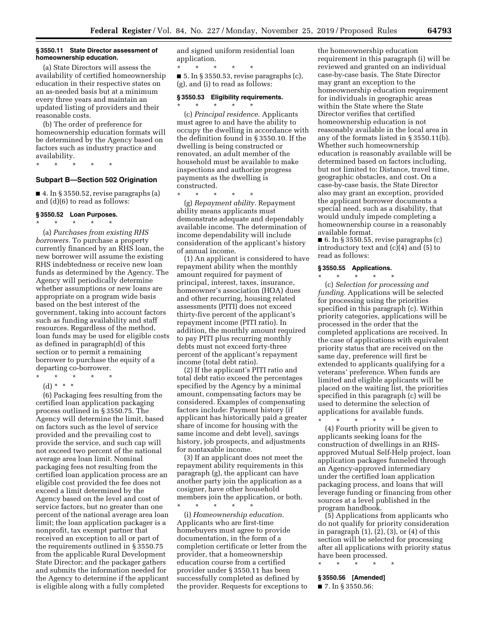#### **§ 3550.11 State Director assessment of homeownership education.**

(a) State Directors will assess the availability of certified homeownership education in their respective states on an as-needed basis but at a minimum every three years and maintain an updated listing of providers and their reasonable costs.

(b) The order of preference for homeownership education formats will be determined by the Agency based on factors such as industry practice and availability.

\* \* \* \* \*

# **Subpart B—Section 502 Origination**

 $\blacksquare$  4. In § 3550.52, revise paragraphs (a) and (d)(6) to read as follows:

#### **§ 3550.52 Loan Purposes.**  \* \* \* \* \*

(a) *Purchases from existing RHS borrowers.* To purchase a property currently financed by an RHS loan, the new borrower will assume the existing RHS indebtedness or receive new loan funds as determined by the Agency. The Agency will periodically determine whether assumptions or new loans are appropriate on a program wide basis based on the best interest of the government, taking into account factors such as funding availability and staff resources. Regardless of the method, loan funds may be used for eligible costs as defined in paragraph(d) of this section or to permit a remaining borrower to purchase the equity of a departing co-borrower.

\* \* \* \* \*

(d) \* \* \* \*

(6) Packaging fees resulting from the certified loan application packaging process outlined in § 3550.75. The Agency will determine the limit, based on factors such as the level of service provided and the prevailing cost to provide the service, and such cap will not exceed two percent of the national average area loan limit. Nominal packaging fees not resulting from the certified loan application process are an eligible cost provided the fee does not exceed a limit determined by the Agency based on the level and cost of service factors, but no greater than one percent of the national average area loan limit; the loan application packager is a nonprofit, tax exempt partner that received an exception to all or part of the requirements outlined in § 3550.75 from the applicable Rural Development State Director; and the packager gathers and submits the information needed for the Agency to determine if the applicant is eligible along with a fully completed

and signed uniform residential loan application.

\* \* \* \* \* ■ 5. In § 3550.53, revise paragraphs (c), (g), and (i) to read as follows:

## **§ 3550.53 Eligibility requirements.**

\* \* \* \* \*

(c) *Principal residence.* Applicants must agree to and have the ability to occupy the dwelling in accordance with the definition found in § 3550.10. If the dwelling is being constructed or renovated, an adult member of the household must be available to make inspections and authorize progress payments as the dwelling is constructed.

\* \* \* \* \* (g) *Repayment ability.* Repayment ability means applicants must demonstrate adequate and dependably available income. The determination of income dependability will include consideration of the applicant's history of annual income.

(1) An applicant is considered to have repayment ability when the monthly amount required for payment of principal, interest, taxes, insurance, homeowner's association (HOA) dues and other recurring, housing related assessments (PITI) does not exceed thirty-five percent of the applicant's repayment income (PITI ratio). In addition, the monthly amount required to pay PITI plus recurring monthly debts must not exceed forty-three percent of the applicant's repayment income (total debt ratio).

(2) If the applicant's PITI ratio and total debt ratio exceed the percentages specified by the Agency by a minimal amount, compensating factors may be considered. Examples of compensating factors include: Payment history (if applicant has historically paid a greater share of income for housing with the same income and debt level), savings history, job prospects, and adjustments for nontaxable income.

(3) If an applicant does not meet the repayment ability requirements in this paragraph (g), the applicant can have another party join the application as a cosigner, have other household members join the application, or both.

\* \* \* \* \* (i) *Homeownership education.*  Applicants who are first-time homebuyers must agree to provide documentation, in the form of a completion certificate or letter from the provider, that a homeownership education course from a certified provider under § 3550.11 has been successfully completed as defined by the provider. Requests for exceptions to

the homeownership education requirement in this paragraph (i) will be reviewed and granted on an individual case-by-case basis. The State Director may grant an exception to the homeownership education requirement for individuals in geographic areas within the State where the State Director verifies that certified homeownership education is not reasonably available in the local area in any of the formats listed in § 3550.11(b). Whether such homeownership education is reasonably available will be determined based on factors including, but not limited to: Distance, travel time, geographic obstacles, and cost. On a case-by-case basis, the State Director also may grant an exception, provided the applicant borrower documents a special need, such as a disability, that would unduly impede completing a homeownership course in a reasonably available format.

 $\blacksquare$  6. In § 3550.55, revise paragraphs (c) introductory text and (c)(4) and (5) to read as follows:

#### **§ 3550.55 Applications.**  \* \* \* \* \*

(c) *Selection for processing and funding.* Applications will be selected for processing using the priorities specified in this paragraph (c). Within priority categories, applications will be processed in the order that the completed applications are received. In the case of applications with equivalent priority status that are received on the same day, preference will first be extended to applicants qualifying for a veterans' preference. When funds are limited and eligible applicants will be placed on the waiting list, the priorities specified in this paragraph (c) will be used to determine the selection of applications for available funds.

\* \* \* \* \* (4) Fourth priority will be given to applicants seeking loans for the construction of dwellings in an RHSapproved Mutual Self-Help project, loan application packages funneled through an Agency-approved intermediary under the certified loan application packaging process, and loans that will leverage funding or financing from other sources at a level published in the program handbook.

(5) Applications from applicants who do not qualify for priority consideration in paragraph (1), (2), (3), or (4) of this section will be selected for processing after all applications with priority status have been processed.

\* \* \* \* \*

# **§ 3550.56 [Amended]**

■ 7. In § 3550.56: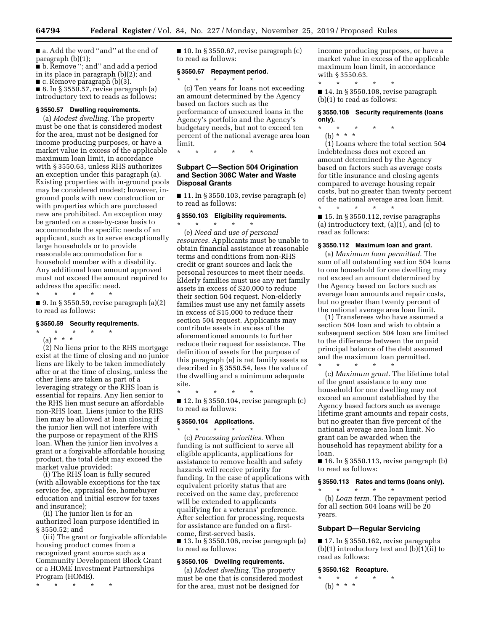■ a. Add the word ''and'' at the end of paragraph (b)(1);

■ b. Remove "; and" and add a period in its place in paragraph (b)(2); and  $\blacksquare$  c. Remove paragraph (b)(3).

■ 8. In § 3550.57, revise paragraph (a) introductory text to reads as follows:

## **§ 3550.57 Dwelling requirements.**

(a) *Modest dwelling.* The property must be one that is considered modest for the area, must not be designed for income producing purposes, or have a market value in excess of the applicable maximum loan limit, in accordance with § 3550.63, unless RHS authorizes an exception under this paragraph (a). Existing properties with in-ground pools may be considered modest; however, inground pools with new construction or with properties which are purchased new are prohibited. An exception may be granted on a case-by-case basis to accommodate the specific needs of an applicant, such as to serve exceptionally large households or to provide reasonable accommodation for a household member with a disability. Any additional loan amount approved must not exceed the amount required to address the specific need.

\* \* \* \* \* ■ 9. In § 3550.59, revise paragraph (a)(2) to read as follows:

#### **§ 3550.59 Security requirements.**

\* \* \* \* \* (a) \* \* \*

(2) No liens prior to the RHS mortgage exist at the time of closing and no junior liens are likely to be taken immediately after or at the time of closing, unless the other liens are taken as part of a leveraging strategy or the RHS loan is essential for repairs. Any lien senior to the RHS lien must secure an affordable non-RHS loan. Liens junior to the RHS lien may be allowed at loan closing if the junior lien will not interfere with the purpose or repayment of the RHS loan. When the junior lien involves a grant or a forgivable affordable housing product, the total debt may exceed the market value provided:

(i) The RHS loan is fully secured (with allowable exceptions for the tax service fee, appraisal fee, homebuyer education and initial escrow for taxes and insurance);

(ii) The junior lien is for an authorized loan purpose identified in § 3550.52; and

(iii) The grant or forgivable affordable housing product comes from a recognized grant source such as a Community Development Block Grant or a HOME Investment Partnerships Program (HOME).

\* \* \* \* \*

 $\blacksquare$  10. In § 3550.67, revise paragraph (c) to read as follows:

## **§ 3550.67 Repayment period.**

\* \* \* \* \*

(c) Ten years for loans not exceeding an amount determined by the Agency based on factors such as the performance of unsecured loans in the Agency's portfolio and the Agency's budgetary needs, but not to exceed ten percent of the national average area loan limit.

\* \* \* \* \*

## **Subpart C—Section 504 Origination and Section 306C Water and Waste Disposal Grants**

 $\blacksquare$  11. In § 3550.103, revise paragraph (e) to read as follows:

## **§ 3550.103 Eligibility requirements.**  \* \* \* \* \*

(e) *Need and use of personal resources.* Applicants must be unable to obtain financial assistance at reasonable terms and conditions from non-RHS credit or grant sources and lack the personal resources to meet their needs. Elderly families must use any net family assets in excess of \$20,000 to reduce their section 504 request. Non-elderly families must use any net family assets in excess of \$15,000 to reduce their section 504 request. Applicants may contribute assets in excess of the aforementioned amounts to further reduce their request for assistance. The definition of assets for the purpose of this paragraph (e) is net family assets as described in § 3550.54, less the value of the dwelling and a minimum adequate site.

\* \* \* \* \*  $\blacksquare$  12. In § 3550.104, revise paragraph (c) to read as follows:

#### **§ 3550.104 Applications.**

\* \* \* \* \* (c) *Processing priorities.* When funding is not sufficient to serve all eligible applicants, applications for assistance to remove health and safety hazards will receive priority for funding. In the case of applications with equivalent priority status that are received on the same day, preference will be extended to applicants qualifying for a veterans' preference. After selection for processing, requests for assistance are funded on a firstcome, first-served basis. ■ 13. In § 3550.106, revise paragraph (a)

to read as follows:

## **§ 3550.106 Dwelling requirements.**

(a) *Modest dwelling.* The property must be one that is considered modest for the area, must not be designed for

income producing purposes, or have a market value in excess of the applicable maximum loan limit, in accordance with § 3550.63.

\* \* \* \* \* ■ 14. In § 3550.108, revise paragraph (b)(1) to read as follows:

## **§ 3550.108 Security requirements (loans only).**

\* \* \* \* \* (b) \* \* \*

(1) Loans where the total section 504 indebtedness does not exceed an amount determined by the Agency based on factors such as average costs for title insurance and closing agents compared to average housing repair costs, but no greater than twenty percent of the national average area loan limit. \* \* \* \* \*

 $\blacksquare$  15. In § 3550.112, revise paragraphs (a) introductory text,  $(a)(1)$ , and  $(c)$  to read as follows:

#### **§ 3550.112 Maximum loan and grant.**

(a) *Maximum loan permitted.* The sum of all outstanding section 504 loans to one household for one dwelling may not exceed an amount determined by the Agency based on factors such as average loan amounts and repair costs, but no greater than twenty percent of the national average area loan limit.

(1) Transferees who have assumed a section 504 loan and wish to obtain a subsequent section 504 loan are limited to the difference between the unpaid principal balance of the debt assumed and the maximum loan permitted.

\* \* \* \* \*

(c) *Maximum grant.* The lifetime total of the grant assistance to any one household for one dwelling may not exceed an amount established by the Agency based factors such as average lifetime grant amounts and repair costs, but no greater than five percent of the national average area loan limit. No grant can be awarded when the household has repayment ability for a loan.

 $\blacksquare$  16. In § 3550.113, revise paragraph (b) to read as follows:

## **§ 3550.113 Rates and terms (loans only).**  \* \* \* \* \*

(b) *Loan term.* The repayment period for all section 504 loans will be 20 years.

## **Subpart D—Regular Servicing**

 $\blacksquare$  17. In § 3550.162, revise paragraphs  $(b)(1)$  introductory text and  $(b)(1)(ii)$  to read as follows:

## **§ 3550.162 Recapture.**

\* \* \* \* \* (b) \* \* \*